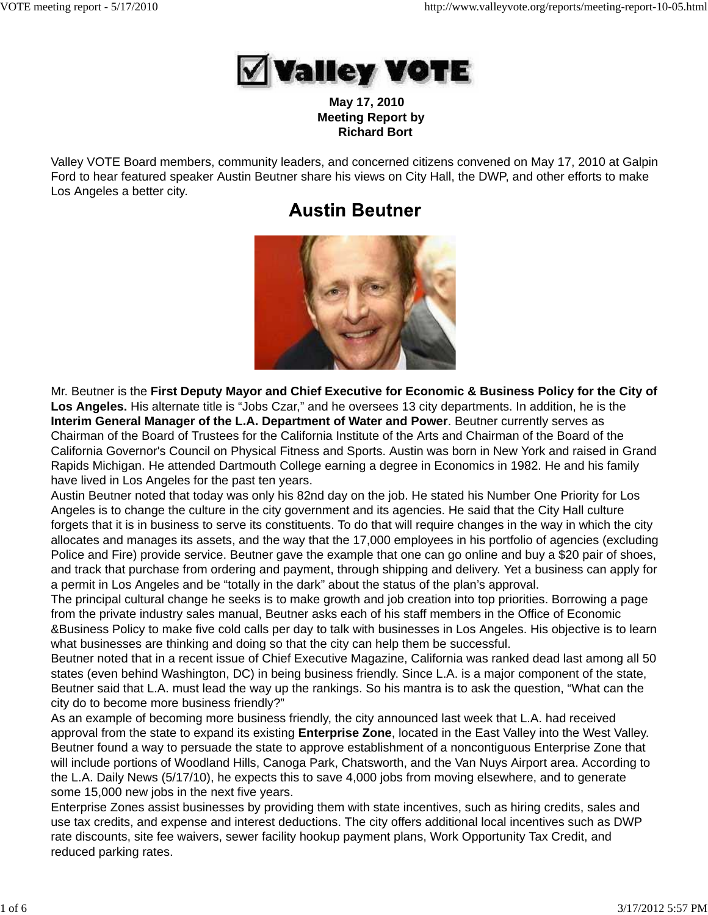

 **May 17, 2010 Meeting Report by Richard Bort**

Valley VOTE Board members, community leaders, and concerned citizens convened on May 17, 2010 at Galpin Ford to hear featured speaker Austin Beutner share his views on City Hall, the DWP, and other efforts to make Los Angeles a better city.

# **Austin Beutner**



Mr. Beutner is the **First Deputy Mayor and Chief Executive for Economic & Business Policy for the City of Los Angeles.** His alternate title is "Jobs Czar," and he oversees 13 city departments. In addition, he is the **Interim General Manager of the L.A. Department of Water and Power**. Beutner currently serves as Chairman of the Board of Trustees for the California Institute of the Arts and Chairman of the Board of the California Governor's Council on Physical Fitness and Sports. Austin was born in New York and raised in Grand Rapids Michigan. He attended Dartmouth College earning a degree in Economics in 1982. He and his family have lived in Los Angeles for the past ten years.

Austin Beutner noted that today was only his 82nd day on the job. He stated his Number One Priority for Los Angeles is to change the culture in the city government and its agencies. He said that the City Hall culture forgets that it is in business to serve its constituents. To do that will require changes in the way in which the city allocates and manages its assets, and the way that the 17,000 employees in his portfolio of agencies (excluding Police and Fire) provide service. Beutner gave the example that one can go online and buy a \$20 pair of shoes, and track that purchase from ordering and payment, through shipping and delivery. Yet a business can apply for a permit in Los Angeles and be "totally in the dark" about the status of the plan's approval.

The principal cultural change he seeks is to make growth and job creation into top priorities. Borrowing a page from the private industry sales manual, Beutner asks each of his staff members in the Office of Economic &Business Policy to make five cold calls per day to talk with businesses in Los Angeles. His objective is to learn what businesses are thinking and doing so that the city can help them be successful.

Beutner noted that in a recent issue of Chief Executive Magazine, California was ranked dead last among all 50 states (even behind Washington, DC) in being business friendly. Since L.A. is a major component of the state, Beutner said that L.A. must lead the way up the rankings. So his mantra is to ask the question, "What can the city do to become more business friendly?"

As an example of becoming more business friendly, the city announced last week that L.A. had received approval from the state to expand its existing **Enterprise Zone**, located in the East Valley into the West Valley. Beutner found a way to persuade the state to approve establishment of a noncontiguous Enterprise Zone that will include portions of Woodland Hills, Canoga Park, Chatsworth, and the Van Nuys Airport area. According to the L.A. Daily News (5/17/10), he expects this to save 4,000 jobs from moving elsewhere, and to generate some 15,000 new jobs in the next five years.

Enterprise Zones assist businesses by providing them with state incentives, such as hiring credits, sales and use tax credits, and expense and interest deductions. The city offers additional local incentives such as DWP rate discounts, site fee waivers, sewer facility hookup payment plans, Work Opportunity Tax Credit, and reduced parking rates.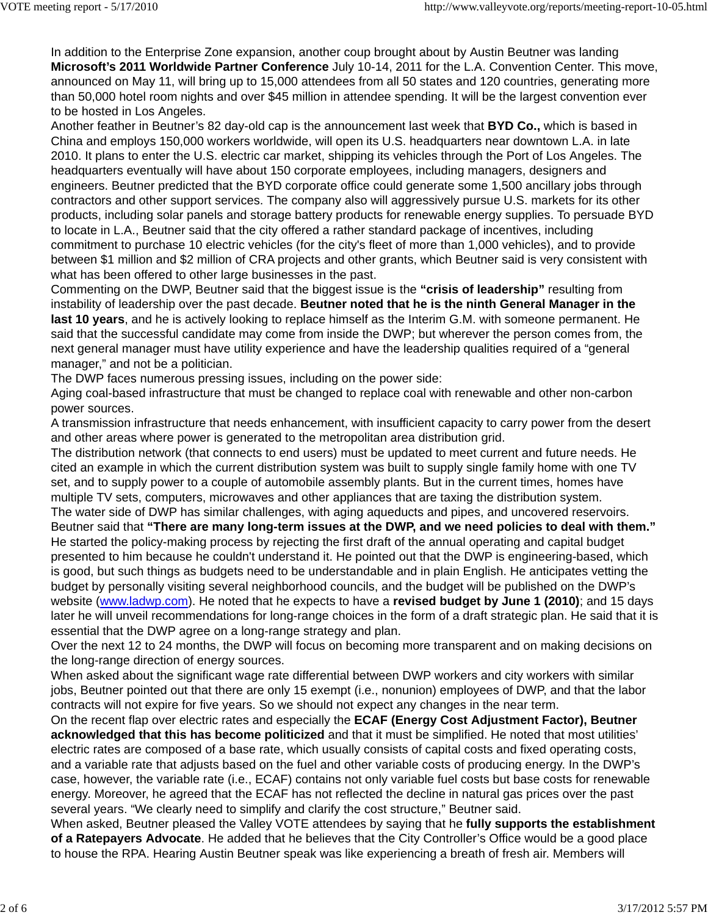In addition to the Enterprise Zone expansion, another coup brought about by Austin Beutner was landing **Microsoft's 2011 Worldwide Partner Conference** July 10-14, 2011 for the L.A. Convention Center. This move, announced on May 11, will bring up to 15,000 attendees from all 50 states and 120 countries, generating more than 50,000 hotel room nights and over \$45 million in attendee spending. It will be the largest convention ever to be hosted in Los Angeles.

Another feather in Beutner's 82 day-old cap is the announcement last week that **BYD Co.,** which is based in China and employs 150,000 workers worldwide, will open its U.S. headquarters near downtown L.A. in late 2010. It plans to enter the U.S. electric car market, shipping its vehicles through the Port of Los Angeles. The headquarters eventually will have about 150 corporate employees, including managers, designers and engineers. Beutner predicted that the BYD corporate office could generate some 1,500 ancillary jobs through contractors and other support services. The company also will aggressively pursue U.S. markets for its other products, including solar panels and storage battery products for renewable energy supplies. To persuade BYD to locate in L.A., Beutner said that the city offered a rather standard package of incentives, including commitment to purchase 10 electric vehicles (for the city's fleet of more than 1,000 vehicles), and to provide between \$1 million and \$2 million of CRA projects and other grants, which Beutner said is very consistent with what has been offered to other large businesses in the past.

Commenting on the DWP, Beutner said that the biggest issue is the **"crisis of leadership"** resulting from instability of leadership over the past decade. **Beutner noted that he is the ninth General Manager in the last 10 years**, and he is actively looking to replace himself as the Interim G.M. with someone permanent. He said that the successful candidate may come from inside the DWP; but wherever the person comes from, the next general manager must have utility experience and have the leadership qualities required of a "general manager," and not be a politician.

The DWP faces numerous pressing issues, including on the power side:

Aging coal-based infrastructure that must be changed to replace coal with renewable and other non-carbon power sources.

A transmission infrastructure that needs enhancement, with insufficient capacity to carry power from the desert and other areas where power is generated to the metropolitan area distribution grid.

The distribution network (that connects to end users) must be updated to meet current and future needs. He cited an example in which the current distribution system was built to supply single family home with one TV set, and to supply power to a couple of automobile assembly plants. But in the current times, homes have multiple TV sets, computers, microwaves and other appliances that are taxing the distribution system.

The water side of DWP has similar challenges, with aging aqueducts and pipes, and uncovered reservoirs. Beutner said that **"There are many long-term issues at the DWP, and we need policies to deal with them."** He started the policy-making process by rejecting the first draft of the annual operating and capital budget presented to him because he couldn't understand it. He pointed out that the DWP is engineering-based, which is good, but such things as budgets need to be understandable and in plain English. He anticipates vetting the budget by personally visiting several neighborhood councils, and the budget will be published on the DWP's website (www.ladwp.com). He noted that he expects to have a **revised budget by June 1 (2010)**; and 15 days later he will unveil recommendations for long-range choices in the form of a draft strategic plan. He said that it is essential that the DWP agree on a long-range strategy and plan.

Over the next 12 to 24 months, the DWP will focus on becoming more transparent and on making decisions on the long-range direction of energy sources.

When asked about the significant wage rate differential between DWP workers and city workers with similar jobs, Beutner pointed out that there are only 15 exempt (i.e., nonunion) employees of DWP, and that the labor contracts will not expire for five years. So we should not expect any changes in the near term.

On the recent flap over electric rates and especially the **ECAF (Energy Cost Adjustment Factor), Beutner acknowledged that this has become politicized** and that it must be simplified. He noted that most utilities' electric rates are composed of a base rate, which usually consists of capital costs and fixed operating costs, and a variable rate that adjusts based on the fuel and other variable costs of producing energy. In the DWP's case, however, the variable rate (i.e., ECAF) contains not only variable fuel costs but base costs for renewable energy. Moreover, he agreed that the ECAF has not reflected the decline in natural gas prices over the past several years. "We clearly need to simplify and clarify the cost structure," Beutner said.

When asked, Beutner pleased the Valley VOTE attendees by saying that he **fully supports the establishment of a Ratepayers Advocate**. He added that he believes that the City Controller's Office would be a good place to house the RPA. Hearing Austin Beutner speak was like experiencing a breath of fresh air. Members will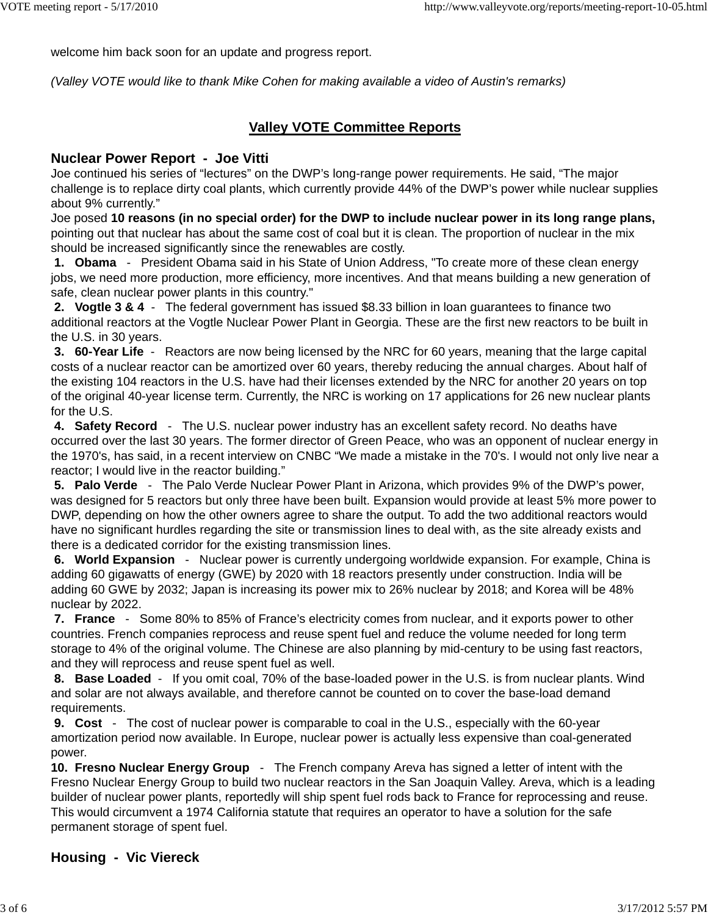welcome him back soon for an update and progress report.

*(Valley VOTE would like to thank Mike Cohen for making available a video of Austin's remarks)*

# **Valley VOTE Committee Reports**

#### **Nuclear Power Report - Joe Vitti**

Joe continued his series of "lectures" on the DWP's long-range power requirements. He said, "The major challenge is to replace dirty coal plants, which currently provide 44% of the DWP's power while nuclear supplies about 9% currently."

Joe posed **10 reasons (in no special order) for the DWP to include nuclear power in its long range plans,** pointing out that nuclear has about the same cost of coal but it is clean. The proportion of nuclear in the mix should be increased significantly since the renewables are costly.

 **1. Obama** - President Obama said in his State of Union Address, "To create more of these clean energy jobs, we need more production, more efficiency, more incentives. And that means building a new generation of safe, clean nuclear power plants in this country."

 **2. Vogtle 3 & 4** - The federal government has issued \$8.33 billion in loan guarantees to finance two additional reactors at the Vogtle Nuclear Power Plant in Georgia. These are the first new reactors to be built in the U.S. in 30 years.

 **3. 60-Year Life** - Reactors are now being licensed by the NRC for 60 years, meaning that the large capital costs of a nuclear reactor can be amortized over 60 years, thereby reducing the annual charges. About half of the existing 104 reactors in the U.S. have had their licenses extended by the NRC for another 20 years on top of the original 40-year license term. Currently, the NRC is working on 17 applications for 26 new nuclear plants for the U.S.

 **4. Safety Record** - The U.S. nuclear power industry has an excellent safety record. No deaths have occurred over the last 30 years. The former director of Green Peace, who was an opponent of nuclear energy in the 1970's, has said, in a recent interview on CNBC "We made a mistake in the 70's. I would not only live near a reactor; I would live in the reactor building."

 **5. Palo Verde** - The Palo Verde Nuclear Power Plant in Arizona, which provides 9% of the DWP's power, was designed for 5 reactors but only three have been built. Expansion would provide at least 5% more power to DWP, depending on how the other owners agree to share the output. To add the two additional reactors would have no significant hurdles regarding the site or transmission lines to deal with, as the site already exists and there is a dedicated corridor for the existing transmission lines.

 **6. World Expansion** - Nuclear power is currently undergoing worldwide expansion. For example, China is adding 60 gigawatts of energy (GWE) by 2020 with 18 reactors presently under construction. India will be adding 60 GWE by 2032; Japan is increasing its power mix to 26% nuclear by 2018; and Korea will be 48% nuclear by 2022.

 **7. France** - Some 80% to 85% of France's electricity comes from nuclear, and it exports power to other countries. French companies reprocess and reuse spent fuel and reduce the volume needed for long term storage to 4% of the original volume. The Chinese are also planning by mid-century to be using fast reactors, and they will reprocess and reuse spent fuel as well.

 **8. Base Loaded** - If you omit coal, 70% of the base-loaded power in the U.S. is from nuclear plants. Wind and solar are not always available, and therefore cannot be counted on to cover the base-load demand requirements.

 **9. Cost** - The cost of nuclear power is comparable to coal in the U.S., especially with the 60-year amortization period now available. In Europe, nuclear power is actually less expensive than coal-generated power.

**10. Fresno Nuclear Energy Group** - The French company Areva has signed a letter of intent with the Fresno Nuclear Energy Group to build two nuclear reactors in the San Joaquin Valley. Areva, which is a leading builder of nuclear power plants, reportedly will ship spent fuel rods back to France for reprocessing and reuse. This would circumvent a 1974 California statute that requires an operator to have a solution for the safe permanent storage of spent fuel.

# **Housing - Vic Viereck**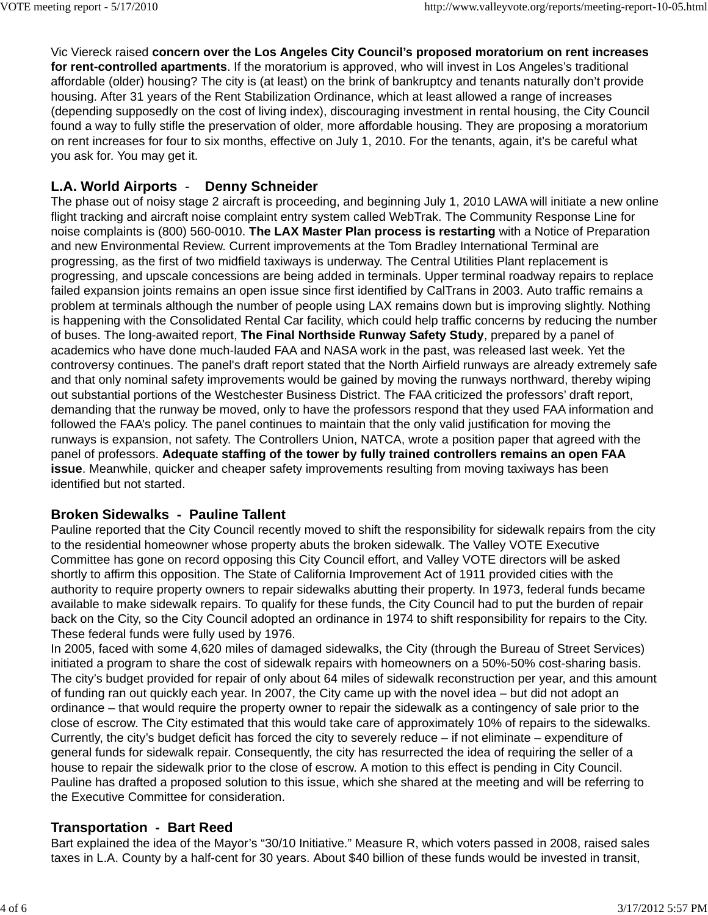Vic Viereck raised **concern over the Los Angeles City Council's proposed moratorium on rent increases for rent-controlled apartments**. If the moratorium is approved, who will invest in Los Angeles's traditional affordable (older) housing? The city is (at least) on the brink of bankruptcy and tenants naturally don't provide housing. After 31 years of the Rent Stabilization Ordinance, which at least allowed a range of increases (depending supposedly on the cost of living index), discouraging investment in rental housing, the City Council found a way to fully stifle the preservation of older, more affordable housing. They are proposing a moratorium on rent increases for four to six months, effective on July 1, 2010. For the tenants, again, it's be careful what you ask for. You may get it.

# **L.A. World Airports** - **Denny Schneider**

The phase out of noisy stage 2 aircraft is proceeding, and beginning July 1, 2010 LAWA will initiate a new online flight tracking and aircraft noise complaint entry system called WebTrak. The Community Response Line for noise complaints is (800) 560-0010. **The LAX Master Plan process is restarting** with a Notice of Preparation and new Environmental Review. Current improvements at the Tom Bradley International Terminal are progressing, as the first of two midfield taxiways is underway. The Central Utilities Plant replacement is progressing, and upscale concessions are being added in terminals. Upper terminal roadway repairs to replace failed expansion joints remains an open issue since first identified by CalTrans in 2003. Auto traffic remains a problem at terminals although the number of people using LAX remains down but is improving slightly. Nothing is happening with the Consolidated Rental Car facility, which could help traffic concerns by reducing the number of buses. The long-awaited report, **The Final Northside Runway Safety Study**, prepared by a panel of academics who have done much-lauded FAA and NASA work in the past, was released last week. Yet the controversy continues. The panel's draft report stated that the North Airfield runways are already extremely safe and that only nominal safety improvements would be gained by moving the runways northward, thereby wiping out substantial portions of the Westchester Business District. The FAA criticized the professors' draft report, demanding that the runway be moved, only to have the professors respond that they used FAA information and followed the FAA's policy. The panel continues to maintain that the only valid justification for moving the runways is expansion, not safety. The Controllers Union, NATCA, wrote a position paper that agreed with the panel of professors. **Adequate staffing of the tower by fully trained controllers remains an open FAA issue**. Meanwhile, quicker and cheaper safety improvements resulting from moving taxiways has been identified but not started.

# **Broken Sidewalks - Pauline Tallent**

Pauline reported that the City Council recently moved to shift the responsibility for sidewalk repairs from the city to the residential homeowner whose property abuts the broken sidewalk. The Valley VOTE Executive Committee has gone on record opposing this City Council effort, and Valley VOTE directors will be asked shortly to affirm this opposition. The State of California Improvement Act of 1911 provided cities with the authority to require property owners to repair sidewalks abutting their property. In 1973, federal funds became available to make sidewalk repairs. To qualify for these funds, the City Council had to put the burden of repair back on the City, so the City Council adopted an ordinance in 1974 to shift responsibility for repairs to the City. These federal funds were fully used by 1976.

In 2005, faced with some 4,620 miles of damaged sidewalks, the City (through the Bureau of Street Services) initiated a program to share the cost of sidewalk repairs with homeowners on a 50%-50% cost-sharing basis. The city's budget provided for repair of only about 64 miles of sidewalk reconstruction per year, and this amount of funding ran out quickly each year. In 2007, the City came up with the novel idea – but did not adopt an ordinance – that would require the property owner to repair the sidewalk as a contingency of sale prior to the close of escrow. The City estimated that this would take care of approximately 10% of repairs to the sidewalks. Currently, the city's budget deficit has forced the city to severely reduce – if not eliminate – expenditure of general funds for sidewalk repair. Consequently, the city has resurrected the idea of requiring the seller of a house to repair the sidewalk prior to the close of escrow. A motion to this effect is pending in City Council. Pauline has drafted a proposed solution to this issue, which she shared at the meeting and will be referring to the Executive Committee for consideration.

# **Transportation - Bart Reed**

Bart explained the idea of the Mayor's "30/10 Initiative." Measure R, which voters passed in 2008, raised sales taxes in L.A. County by a half-cent for 30 years. About \$40 billion of these funds would be invested in transit,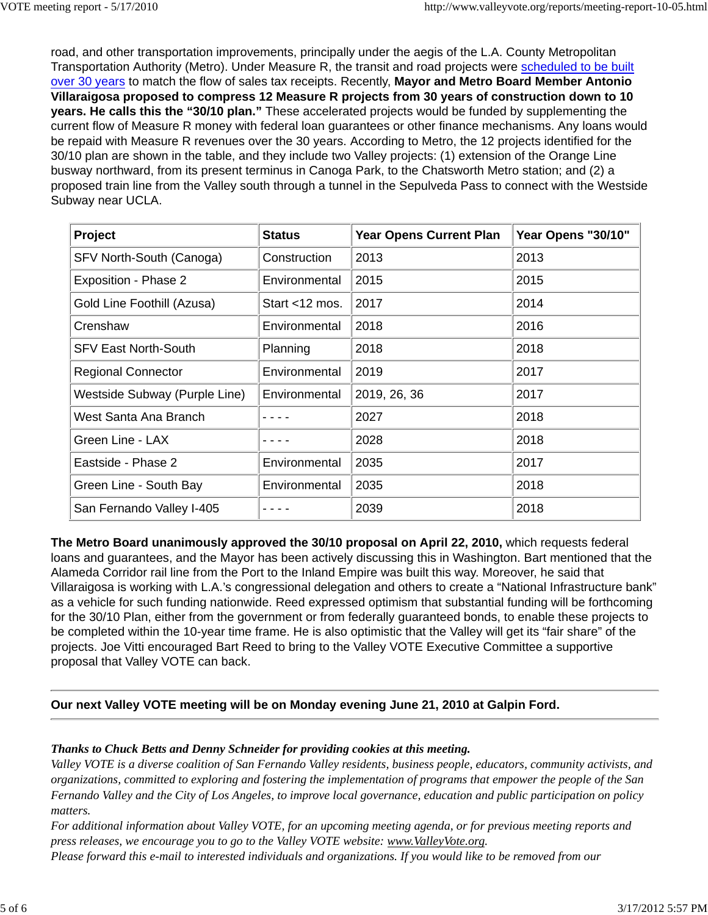road, and other transportation improvements, principally under the aegis of the L.A. County Metropolitan Transportation Authority (Metro). Under Measure R, the transit and road projects were scheduled to be built over 30 years to match the flow of sales tax receipts. Recently, **Mayor and Metro Board Member Antonio Villaraigosa proposed to compress 12 Measure R projects from 30 years of construction down to 10 years. He calls this the "30/10 plan."** These accelerated projects would be funded by supplementing the current flow of Measure R money with federal loan guarantees or other finance mechanisms. Any loans would be repaid with Measure R revenues over the 30 years. According to Metro, the 12 projects identified for the 30/10 plan are shown in the table, and they include two Valley projects: (1) extension of the Orange Line busway northward, from its present terminus in Canoga Park, to the Chatsworth Metro station; and (2) a proposed train line from the Valley south through a tunnel in the Sepulveda Pass to connect with the Westside Subway near UCLA.

| Project                       | <b>Status</b>     | <b>Year Opens Current Plan</b> | Year Opens "30/10" |
|-------------------------------|-------------------|--------------------------------|--------------------|
| SFV North-South (Canoga)      | Construction      | 2013                           | 2013               |
| Exposition - Phase 2          | Environmental     | 2015                           | 2015               |
| Gold Line Foothill (Azusa)    | Start $<$ 12 mos. | 2017                           | 2014               |
| Crenshaw                      | Environmental     | 2018                           | 2016               |
| <b>SFV East North-South</b>   | Planning          | 2018                           | 2018               |
| <b>Regional Connector</b>     | Environmental     | 2019                           | 2017               |
| Westside Subway (Purple Line) | Environmental     | 2019, 26, 36                   | 2017               |
| West Santa Ana Branch         |                   | 2027                           | 2018               |
| Green Line - LAX              |                   | 2028                           | 2018               |
| Eastside - Phase 2            | Environmental     | 2035                           | 2017               |
| Green Line - South Bay        | Environmental     | 2035                           | 2018               |
| San Fernando Valley I-405     |                   | 2039                           | 2018               |

**The Metro Board unanimously approved the 30/10 proposal on April 22, 2010,** which requests federal loans and guarantees, and the Mayor has been actively discussing this in Washington. Bart mentioned that the Alameda Corridor rail line from the Port to the Inland Empire was built this way. Moreover, he said that Villaraigosa is working with L.A.'s congressional delegation and others to create a "National Infrastructure bank" as a vehicle for such funding nationwide. Reed expressed optimism that substantial funding will be forthcoming for the 30/10 Plan, either from the government or from federally guaranteed bonds, to enable these projects to be completed within the 10-year time frame. He is also optimistic that the Valley will get its "fair share" of the projects. Joe Vitti encouraged Bart Reed to bring to the Valley VOTE Executive Committee a supportive proposal that Valley VOTE can back.

# **Our next Valley VOTE meeting will be on Monday evening June 21, 2010 at Galpin Ford.**

#### *Thanks to Chuck Betts and Denny Schneider for providing cookies at this meeting.*

*Valley VOTE is a diverse coalition of San Fernando Valley residents, business people, educators, community activists, and organizations, committed to exploring and fostering the implementation of programs that empower the people of the San Fernando Valley and the City of Los Angeles, to improve local governance, education and public participation on policy matters.*

*For additional information about Valley VOTE, for an upcoming meeting agenda, or for previous meeting reports and press releases, we encourage you to go to the Valley VOTE website: www.ValleyVote.org.*

*Please forward this e-mail to interested individuals and organizations. If you would like to be removed from our*